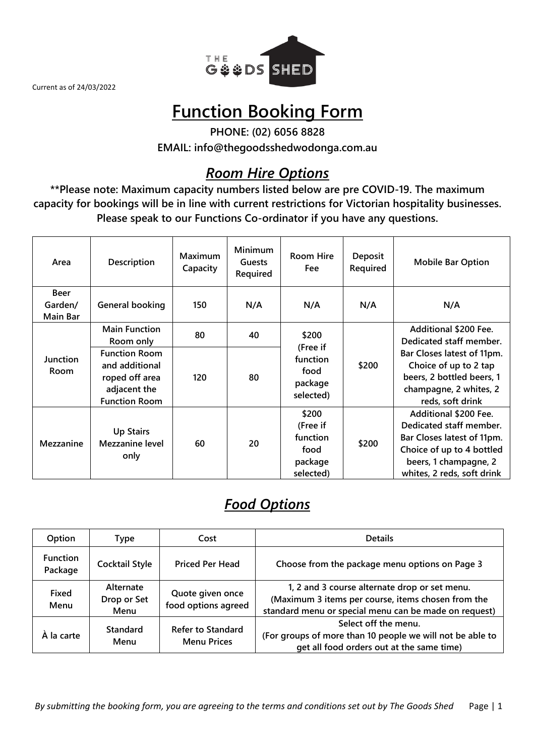

# **Function Booking Form**

**PHONE: (02) 6056 8828 EMAIL: info@thegoodsshedwodonga.com.au**

# *Room Hire Options*

**\*\*Please note: Maximum capacity numbers listed below are pre COVID-19. The maximum capacity for bookings will be in line with current restrictions for Victorian hospitality businesses. Please speak to our Functions Co-ordinator if you have any questions.**

| Area                               | Description                                                                                      | Maximum<br>Capacity | <b>Minimum</b><br><b>Guests</b><br>Required | <b>Room Hire</b><br>Fee                                       | <b>Deposit</b><br>Required | <b>Mobile Bar Option</b>                                                                                                                                           |
|------------------------------------|--------------------------------------------------------------------------------------------------|---------------------|---------------------------------------------|---------------------------------------------------------------|----------------------------|--------------------------------------------------------------------------------------------------------------------------------------------------------------------|
| <b>Beer</b><br>Garden/<br>Main Bar | General booking                                                                                  | 150                 | N/A                                         | N/A                                                           | N/A                        | N/A                                                                                                                                                                |
|                                    | <b>Main Function</b><br>80<br>40<br>\$200<br>Room only                                           |                     |                                             | Additional \$200 Fee.<br>Dedicated staff member.              |                            |                                                                                                                                                                    |
| Junction<br><b>Room</b>            | <b>Function Room</b><br>and additional<br>roped off area<br>adjacent the<br><b>Function Room</b> | 120                 | 80                                          | (Free if<br>function<br>food<br>package<br>selected)          | \$200                      | Bar Closes latest of 11pm.<br>Choice of up to 2 tap<br>beers, 2 bottled beers, 1<br>champagne, 2 whites, 2<br>reds, soft drink                                     |
| Mezzanine                          | <b>Up Stairs</b><br><b>Mezzanine level</b><br>only                                               | 60                  | 20                                          | \$200<br>(Free if<br>function<br>food<br>package<br>selected) | \$200                      | Additional \$200 Fee.<br>Dedicated staff member.<br>Bar Closes latest of 11pm.<br>Choice of up to 4 bottled<br>beers, 1 champagne, 2<br>whites, 2 reds, soft drink |

# *Food Options*

| Option                     | <b>Type</b>                      | Cost                                           | <b>Details</b>                                                                                                                                               |
|----------------------------|----------------------------------|------------------------------------------------|--------------------------------------------------------------------------------------------------------------------------------------------------------------|
| <b>Function</b><br>Package | <b>Cocktail Style</b>            | <b>Priced Per Head</b>                         | Choose from the package menu options on Page 3                                                                                                               |
| Fixed<br>Menu              | Alternate<br>Drop or Set<br>Menu | Quote given once<br>food options agreed        | 1, 2 and 3 course alternate drop or set menu.<br>(Maximum 3 items per course, items chosen from the<br>standard menu or special menu can be made on request) |
| À la carte                 | <b>Standard</b><br>Menu          | <b>Refer to Standard</b><br><b>Menu Prices</b> | Select off the menu.<br>(For groups of more than 10 people we will not be able to<br>get all food orders out at the same time)                               |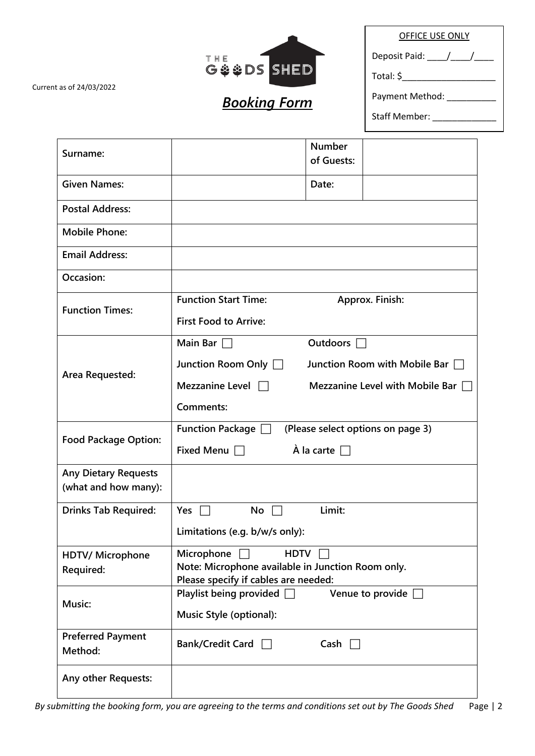Staff Member: \_\_\_\_\_\_\_\_\_\_\_\_\_

| THE<br>G & & DS SHED |  |
|----------------------|--|

Current as of 24/03/2022

# *Booking Form*

Deposit Paid: \_\_\_\_/\_\_\_\_/\_\_\_\_\_

Total: \$\_\_\_\_\_\_\_\_\_\_\_\_\_\_\_\_\_\_\_

Payment Method: \_\_\_\_\_\_\_\_\_\_\_

| Surname:                                            | <b>Number</b><br>of Guests:                                                               |  |  |
|-----------------------------------------------------|-------------------------------------------------------------------------------------------|--|--|
| <b>Given Names:</b>                                 | Date:                                                                                     |  |  |
| <b>Postal Address:</b>                              |                                                                                           |  |  |
| <b>Mobile Phone:</b>                                |                                                                                           |  |  |
| <b>Email Address:</b>                               |                                                                                           |  |  |
| Occasion:                                           |                                                                                           |  |  |
| <b>Function Times:</b>                              | <b>Function Start Time:</b><br>Approx. Finish:                                            |  |  |
|                                                     | <b>First Food to Arrive:</b>                                                              |  |  |
|                                                     | <b>Main Bar</b><br><b>Outdoors</b>                                                        |  |  |
| Area Requested:                                     | Junction Room Only<br>Junction Room with Mobile Bar $\Box$                                |  |  |
|                                                     | Mezzanine Level $\Box$<br>Mezzanine Level with Mobile Bar                                 |  |  |
|                                                     | Comments:                                                                                 |  |  |
|                                                     | (Please select options on page 3)<br>Function Package $\Box$                              |  |  |
| <b>Food Package Option:</b>                         | À la carte<br>Fixed Menu $\Box$                                                           |  |  |
| <b>Any Dietary Requests</b><br>(what and how many): |                                                                                           |  |  |
| <b>Drinks Tab Required:</b>                         | Limit:<br>Yes<br>No                                                                       |  |  |
|                                                     | Limitations (e.g. b/w/s only):                                                            |  |  |
| <b>HDTV/ Microphone</b>                             | Microphone<br><b>HDTV</b>                                                                 |  |  |
| Required:                                           | Note: Microphone available in Junction Room only.<br>Please specify if cables are needed: |  |  |
| Music:                                              | Playlist being provided D<br>Venue to provide $\Box$                                      |  |  |
|                                                     | <b>Music Style (optional):</b>                                                            |  |  |
| <b>Preferred Payment</b><br>Method:                 | Bank/Credit Card $\Box$<br>Cash $\Box$                                                    |  |  |
| Any other Requests:                                 |                                                                                           |  |  |

*By submitting the booking form, you are agreeing to the terms and conditions set out by The Goods Shed* Page | 2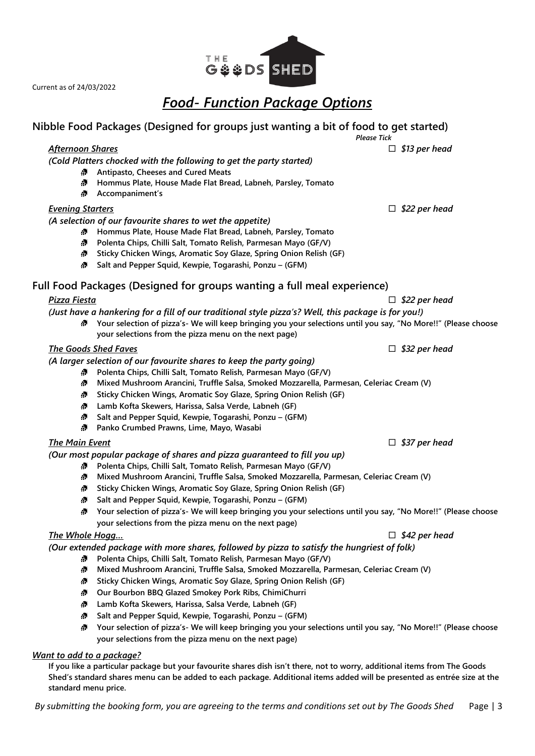# *Food- Function Package Options*

### **Nibble Food Packages (Designed for groups just wanting a bit of food to get started)** *Please Tick*

## *Afternoon Shares* *\$13 per head*

*(Cold Platters chocked with the following to get the party started)*

- **Antipasto, Cheeses and Cured Meats**
- **Hommus Plate, House Made Flat Bread, Labneh, Parsley, Tomato**
- **Accompaniment's**

# *Evening Starters* *\$22 per head*

*(A selection of our favourite shares to wet the appetite)*

- **Hommus Plate, House Made Flat Bread, Labneh, Parsley, Tomato**
- **Polenta Chips, Chilli Salt, Tomato Relish, Parmesan Mayo (GF/V)**
- **Sticky Chicken Wings, Aromatic Soy Glaze, Spring Onion Relish (GF)**
- **Salt and Pepper Squid, Kewpie, Togarashi, Ponzu – (GFM)**

# **Full Food Packages (Designed for groups wanting a full meal experience)**

# *(Just have a hankering for a fill of our traditional style pizza's? Well, this package is for you!)*

**Your selection of pizza's- We will keep bringing you your selections until you say, "No More!!" (Please choose your selections from the pizza menu on the next page)**

## *The Goods Shed Faves* *\$32 per head*

*(A larger selection of our favourite shares to keep the party going)*

- **Polenta Chips, Chilli Salt, Tomato Relish, Parmesan Mayo (GF/V)**  $\mathcal{L}_{\mathcal{N}}$
- **Mixed Mushroom Arancini, Truffle Salsa, Smoked Mozzarella, Parmesan, Celeriac Cream (V)**
- **Sticky Chicken Wings, Aromatic Soy Glaze, Spring Onion Relish (GF)**
- **Lamb Kofta Skewers, Harissa, Salsa Verde, Labneh (GF)**
- $\mathcal{L}_{\mathcal{N}}$ **Salt and Pepper Squid, Kewpie, Togarashi, Ponzu – (GFM)**
- **Panko Crumbed Prawns, Lime, Mayo, Wasabi**

# *The Main Event* *\$37 per head*

*(Our most popular package of shares and pizza guaranteed to fill you up)*

- $\mathcal{N}$ **Polenta Chips, Chilli Salt, Tomato Relish, Parmesan Mayo (GF/V)**
- $\mathcal{D}^{\text{max}}$ **Mixed Mushroom Arancini, Truffle Salsa, Smoked Mozzarella, Parmesan, Celeriac Cream (V)**
- **Sticky Chicken Wings, Aromatic Soy Glaze, Spring Onion Relish (GF)**
- **Salt and Pepper Squid, Kewpie, Togarashi, Ponzu – (GFM)**
- **Your selection of pizza's- We will keep bringing you your selections until you say, "No More!!" (Please choose your selections from the pizza menu on the next page)**

# *The Whole Hogg…* *\$42 per head*

*(Our extended package with more shares, followed by pizza to satisfy the hungriest of folk)*

- $\Delta \mathbf{N}$ **Polenta Chips, Chilli Salt, Tomato Relish, Parmesan Mayo (GF/V)**
- $\mathcal{L}_{\mathcal{D}}$ **Mixed Mushroom Arancini, Truffle Salsa, Smoked Mozzarella, Parmesan, Celeriac Cream (V)**
- **Sticky Chicken Wings, Aromatic Soy Glaze, Spring Onion Relish (GF)**
- **Our Bourbon BBQ Glazed Smokey Pork Ribs, ChimiChurri**
- **Lamb Kofta Skewers, Harissa, Salsa Verde, Labneh (GF)**
- **Salt and Pepper Squid, Kewpie, Togarashi, Ponzu – (GFM)**
- **Your selection of pizza's- We will keep bringing you your selections until you say, "No More!!" (Please choose your selections from the pizza menu on the next page)**

# *Want to add to a package?*

**If you like a particular package but your favourite shares dish isn't there, not to worry, additional items from The Goods Shed's standard shares menu can be added to each package. Additional items added will be presented as entrée size at the standard menu price.**

*By submitting the booking form, you are agreeing to the terms and conditions set out by The Goods Shed* Page | 3



*Pizza Fiesta* *\$22 per head*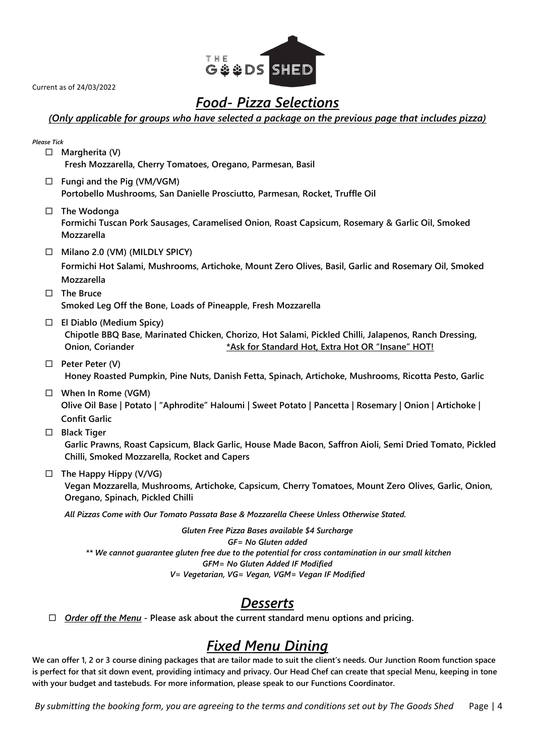

# *Food- Pizza Selections*

## *(Only applicable for groups who have selected a package on the previous page that includes pizza)*

| <b>Please Tick</b> |                                                                                                                                                                                                                                                                        |
|--------------------|------------------------------------------------------------------------------------------------------------------------------------------------------------------------------------------------------------------------------------------------------------------------|
| $\Box$             | Margherita (V)<br>Fresh Mozzarella, Cherry Tomatoes, Oregano, Parmesan, Basil                                                                                                                                                                                          |
|                    | $\Box$ Fungi and the Pig (VM/VGM)<br>Portobello Mushrooms, San Danielle Prosciutto, Parmesan, Rocket, Truffle Oil                                                                                                                                                      |
| $\Box$             | The Wodonga<br>Formichi Tuscan Pork Sausages, Caramelised Onion, Roast Capsicum, Rosemary & Garlic Oil, Smoked<br>Mozzarella                                                                                                                                           |
|                    | $\Box$ Milano 2.0 (VM) (MILDLY SPICY)<br>Formichi Hot Salami, Mushrooms, Artichoke, Mount Zero Olives, Basil, Garlic and Rosemary Oil, Smoked<br>Mozzarella                                                                                                            |
| $\Box$             | <b>The Bruce</b><br>Smoked Leg Off the Bone, Loads of Pineapple, Fresh Mozzarella                                                                                                                                                                                      |
| □                  | El Diablo (Medium Spicy)<br>Chipotle BBQ Base, Marinated Chicken, Chorizo, Hot Salami, Pickled Chilli, Jalapenos, Ranch Dressing,<br>Onion, Coriander<br>*Ask for Standard Hot, Extra Hot OR "Insane" HOT!                                                             |
|                    | $\Box$ Peter Peter (V)<br>Honey Roasted Pumpkin, Pine Nuts, Danish Fetta, Spinach, Artichoke, Mushrooms, Ricotta Pesto, Garlic                                                                                                                                         |
|                    | $\Box$ When In Rome (VGM)<br>Olive Oil Base   Potato   "Aphrodite" Haloumi   Sweet Potato   Pancetta   Rosemary   Onion   Artichoke  <br><b>Confit Garlic</b>                                                                                                          |
| $\Box$             | <b>Black Tiger</b><br>Garlic Prawns, Roast Capsicum, Black Garlic, House Made Bacon, Saffron Aioli, Semi Dried Tomato, Pickled<br>Chilli, Smoked Mozzarella, Rocket and Capers                                                                                         |
| $\Box$             | The Happy Hippy (V/VG)<br>Vegan Mozzarella, Mushrooms, Artichoke, Capsicum, Cherry Tomatoes, Mount Zero Olives, Garlic, Onion,<br>Oregano, Spinach, Pickled Chilli                                                                                                     |
|                    | All Pizzas Come with Our Tomato Passata Base & Mozzarella Cheese Unless Otherwise Stated.                                                                                                                                                                              |
|                    | Gluten Free Pizza Bases available \$4 Surcharge<br>GF= No Gluten added<br>** We cannot guarantee gluten free due to the potential for cross contamination in our small kitchen<br>GFM= No Gluten Added IF Modified<br>V= Vegetarian, VG= Vegan, VGM= Vegan IF Modified |
|                    | <b>Desserts</b>                                                                                                                                                                                                                                                        |

*Order off the Menu* **- Please ask about the current standard menu options and pricing.**

# *Fixed Menu Dining*

**We can offer 1, 2 or 3 course dining packages that are tailor made to suit the client's needs. Our Junction Room function space is perfect for that sit down event, providing intimacy and privacy. Our Head Chef can create that special Menu, keeping in tone with your budget and tastebuds. For more information, please speak to our Functions Coordinator.**

*By submitting the booking form, you are agreeing to the terms and conditions set out by The Goods Shed* Page | 4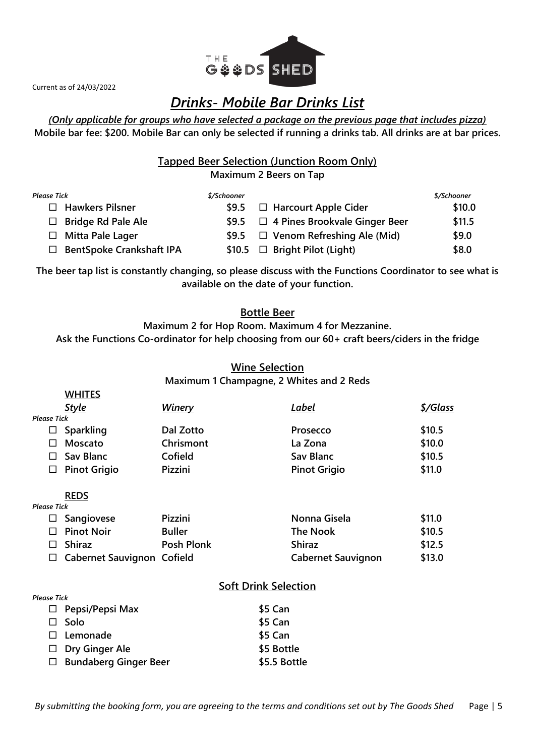

**WHITES**

# *Drinks- Mobile Bar Drinks List*

## *(Only applicable for groups who have selected a package on the previous page that includes pizza)* **Mobile bar fee: \$200. Mobile Bar can only be selected if running a drinks tab. All drinks are at bar prices.**

**Tapped Beer Selection (Junction Room Only)**

**Maximum 2 Beers on Tap**

| Please Tick                          | \$/Schooner |                                      | \$/Schooner |
|--------------------------------------|-------------|--------------------------------------|-------------|
| $\Box$ Hawkers Pilsner               | \$9.5       | $\Box$ Harcourt Apple Cider          | \$10.0      |
| $\Box$ Bridge Rd Pale Ale            | \$9.5       | $\Box$ 4 Pines Brookvale Ginger Beer | \$11.5      |
| $\Box$ Mitta Pale Lager              | \$9.5       | $\Box$ Venom Refreshing Ale (Mid)    | \$9.0       |
| <b>BentSpoke Crankshaft IPA</b><br>П |             | \$10.5 $\Box$ Bright Pilot (Light)   | \$8.0       |

**The beer tap list is constantly changing, so please discuss with the Functions Coordinator to see what is available on the date of your function.**

## **Bottle Beer**

**Maximum 2 for Hop Room. Maximum 4 for Mezzanine. Ask the Functions Co-ordinator for help choosing from our 60+ craft beers/ciders in the fridge**

## **Wine Selection**

**Maximum 1 Champagne, 2 Whites and 2 Reds** 

|                    | <b>VALLIES</b>                    |                   |                           |          |
|--------------------|-----------------------------------|-------------------|---------------------------|----------|
|                    | <b>Style</b>                      | <b>Winery</b>     | Label                     | \$/Glass |
| <b>Please Tick</b> |                                   |                   |                           |          |
| ப                  | Sparkling                         | Dal Zotto         | Prosecco                  | \$10.5   |
|                    | Moscato                           | Chrismont         | La Zona                   | \$10.0   |
| П                  | Sav Blanc                         | Cofield           | <b>Sav Blanc</b>          | \$10.5   |
| ப                  | <b>Pinot Grigio</b>               | Pizzini           | <b>Pinot Grigio</b>       | \$11.0   |
|                    | <b>REDS</b>                       |                   |                           |          |
| <b>Please Tick</b> |                                   |                   |                           |          |
| ப                  | Sangiovese                        | Pizzini           | Nonna Gisela              | \$11.0   |
| П                  | <b>Pinot Noir</b>                 | <b>Buller</b>     | <b>The Nook</b>           | \$10.5   |
| П                  | <b>Shiraz</b>                     | <b>Posh Plonk</b> | <b>Shiraz</b>             | \$12.5   |
| ப                  | <b>Cabernet Sauvignon Cofield</b> |                   | <b>Cabernet Sauvignon</b> | \$13.0   |
|                    |                                   |                   |                           |          |

# **Soft Drink Selection**

| <b>Please Tick</b> |                              |              |
|--------------------|------------------------------|--------------|
|                    | $\Box$ Pepsi/Pepsi Max       | \$5 Can      |
| $\Box$             | - Solo                       | \$5 Can      |
|                    | $\square$ Lemonade           | \$5 Can      |
|                    | $\Box$ Dry Ginger Ale        | \$5 Bottle   |
|                    | $\Box$ Bundaberg Ginger Beer | \$5.5 Bottle |